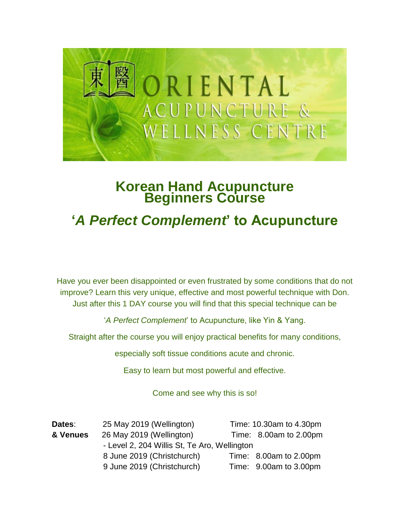

## **Korean Hand Acupuncture Beginners Course**

## **'***A Perfect Complement***' to Acupuncture**

Have you ever been disappointed or even frustrated by some conditions that do not improve? Learn this very unique, effective and most powerful technique with Don. Just after this 1 DAY course you will find that this special technique can be

'*A Perfect Complement*' to Acupuncture, like Yin & Yang.

Straight after the course you will enjoy practical benefits for many conditions,

especially soft tissue conditions acute and chronic.

Easy to learn but most powerful and effective.

Come and see why this is so!

| Dates:   | 25 May 2019 (Wellington)                     |  | Time: 10.30am to 4.30pm    |  |
|----------|----------------------------------------------|--|----------------------------|--|
| & Venues | 26 May 2019 (Wellington)                     |  | Time: $8.00am$ to $2.00pm$ |  |
|          | - Level 2, 204 Willis St, Te Aro, Wellington |  |                            |  |
|          | 8 June 2019 (Christchurch)                   |  | Time: 8.00am to 2.00pm     |  |
|          | 9 June 2019 (Christchurch)                   |  | Time: 9.00am to 3.00pm     |  |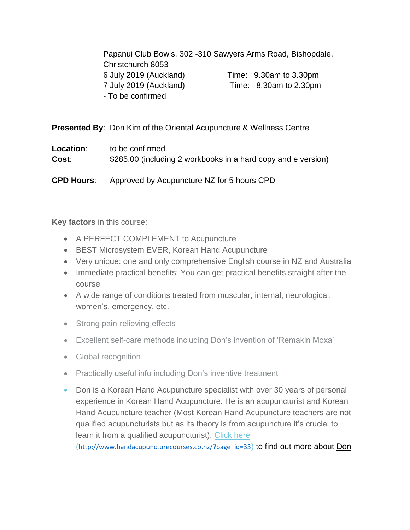Papanui Club Bowls, 302 -310 Sawyers Arms Road, Bishopdale, Christchurch 8053 6 July 2019 (Auckland) Time: 9.30am to 3.30pm 7 July 2019 (Auckland) Time: 8.30am to 2.30pm - To be confirmed

**Presented By**: Don Kim of the Oriental Acupuncture & Wellness Centre

| Location:         | to be confirmed                                               |
|-------------------|---------------------------------------------------------------|
| Cost:             | \$285.00 (including 2 workbooks in a hard copy and e version) |
| <b>CPD Hours:</b> | Approved by Acupuncture NZ for 5 hours CPD                    |

**Key factors** in this course:

- A PERFECT COMPLEMENT to Acupuncture
- BEST Microsystem EVER, Korean Hand Acupuncture
- Very unique: one and only comprehensive English course in NZ and Australia
- Immediate practical benefits: You can get practical benefits straight after the course
- A wide range of conditions treated from muscular, internal, neurological, women's, emergency, etc.
- Strong pain-relieving effects
- Excellent self-care methods including Don's invention of 'Remakin Moxa'
- Global recognition
- Practically useful info including Don's inventive treatment
- Don is a Korean Hand Acupuncture specialist with over 30 years of personal experience in Korean Hand Acupuncture. He is an acupuncturist and Korean Hand Acupuncture teacher (Most Korean Hand Acupuncture teachers are not qualified acupuncturists but as its theory is from acupuncture it's crucial to learn it from a qualified acupuncturist). Click here ([http://www.handacupuncturecourses.co.nz/?page\\_id=33](http://www.handacupuncturecourses.co.nz/?page_id=33)) to find out more about Don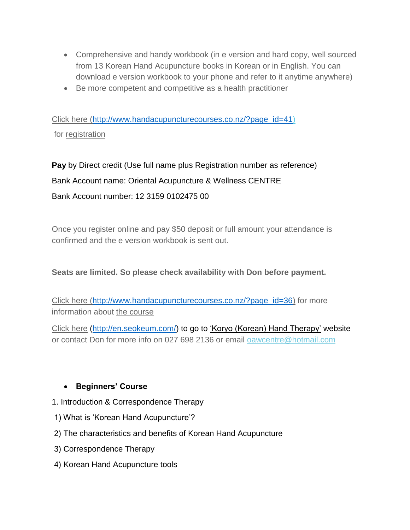- Comprehensive and handy workbook (in e version and hard copy, well sourced from 13 Korean Hand Acupuncture books in Korean or in English. You can download e version workbook to your phone and refer to it anytime anywhere)
- Be more competent and competitive as a health practitioner

Click here [\(http://www.handacupuncturecourses.co.nz/?page\\_id=41\)](http://www.handacupuncturecourses.co.nz/?page_id=41) for registration

**Pay** by Direct credit (Use full name plus Registration number as reference) Bank Account name: Oriental Acupuncture & Wellness CENTRE Bank Account number: 12 3159 0102475 00

Once you register online and pay \$50 deposit or full amount your attendance is confirmed and the e version workbook is sent out.

## **Seats are limited. So please check availability with Don before payment.**

Click here [\(http://www.handacupuncturecourses.co.nz/?page\\_id=36\)](http://www.handacupuncturecourses.co.nz/?page_id=36) for more information about the course

[Click here](https://nam03.safelinks.protection.outlook.com/?url=http%3A%2F%2Fwww.handacupuncturecourses.com%2Fhand_course.html&data=02%7C01%7C%7C872e42e42af24267aa7008d6773e7871%7C84df9e7fe9f640afb435aaaaaaaaaaaa%7C1%7C0%7C636827507522513999&sdata=UJTKYDuurzkfypZoSxcWk45xx%2F6%2Bbbuypc1b4tGDosM%3D&reserved=0) [\(http://en.seokeum.com/\)](http://en.seokeum.com/) to go to 'Koryo (Korean) Hand Therapy' website or contact Don for more info on 027 698 2136 or email [oawcentre@hotmail.com](mailto:oawcentre@hotmail.com?subject=Korean%20Hand%20Acupuncture%20Course)

## • **Beginners' Course**

- 1. Introduction & Correspondence Therapy
- 1) What is 'Korean Hand Acupuncture'?
- 2) The characteristics and benefits of Korean Hand Acupuncture
- 3) Correspondence Therapy
- 4) Korean Hand Acupuncture tools